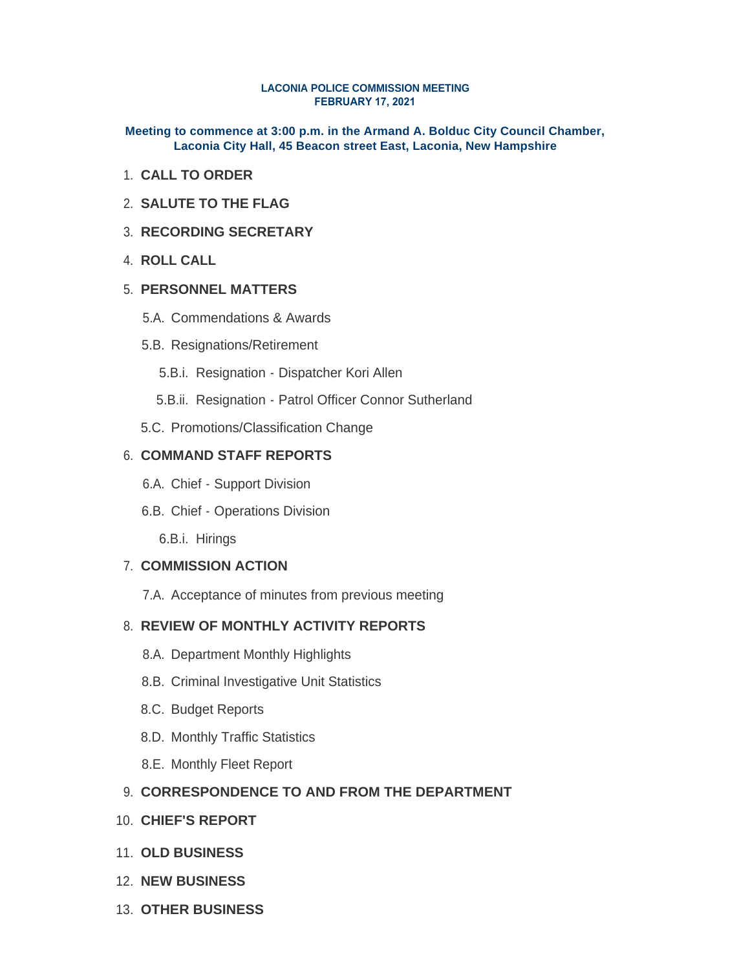#### **LACONIA POLICE COMMISSION MEETING FEBRUARY 17, 2021**

**Meeting to commence at 3:00 p.m. in the Armand A. Bolduc City Council Chamber, Laconia City Hall, 45 Beacon street East, Laconia, New Hampshire**

- **CALL TO ORDER** 1.
- **SALUTE TO THE FLAG** 2.
- **RECORDING SECRETARY** 3.
- **ROLL CALL** 4.

#### **PERSONNEL MATTERS** 5.

- 5.A. Commendations & Awards
- 5.B. Resignations/Retirement
	- 5.B.i. Resignation Dispatcher Kori Allen
	- 5.B.ii. Resignation Patrol Officer Connor Sutherland
- 5.C. Promotions/Classification Change

## **COMMAND STAFF REPORTS** 6.

- 6.A. Chief Support Division
- 6.B. Chief Operations Division
	- 6.B.i. Hirings

#### **COMMISSION ACTION** 7.

7.A. Acceptance of minutes from previous meeting

# **REVIEW OF MONTHLY ACTIVITY REPORTS** 8.

- 8.A. Department Monthly Highlights
- 8.B. Criminal Investigative Unit Statistics
- 8.C. Budget Reports
- 8.D. Monthly Traffic Statistics
- 8.E. Monthly Fleet Report

# **CORRESPONDENCE TO AND FROM THE DEPARTMENT** 9.

- **CHIEF'S REPORT** 10.
- **OLD BUSINESS** 11.
- **NEW BUSINESS** 12.
- **OTHER BUSINESS** 13.